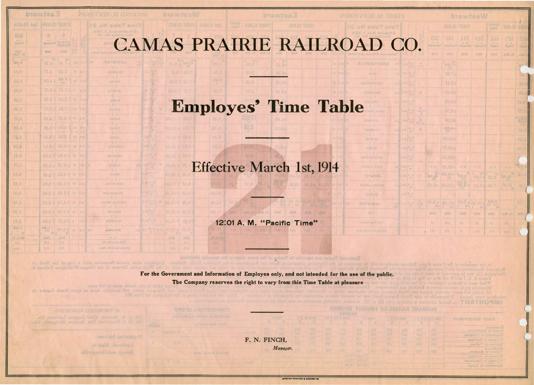|                   |           | \$50 2 300 WW at 500 \$52 cent        |                     |                 |               | <b>MARTIMENT MARTIN</b>                                 |               |
|-------------------|-----------|---------------------------------------|---------------------|-----------------|---------------|---------------------------------------------------------|---------------|
|                   | Zad ULASS |                                       | FIRST CLASS         |                 |               | Time Table No. 21                                       |               |
| 008               |           | 8                                     | a                   | 高古              | and a         | <b>biotive</b> Mine Library<br>Successible No. 20       |               |
| <b>Adgleri</b>    |           | <b>Nussiasin'i</b>                    | <b>BA SEW O</b>     | ăg              | <b>REFER</b>  | avc                                                     |               |
| Faily             |           | <b>Fally</b>                          | vlinti              | <b>SED</b>      | ã             | Dffloos and Called                                      |               |
| MA<br>0.4.8       |           | 招导<br><b>OS.1e</b>                    | R2, 6<br>Ä.<br>0.72 | 181             | (3.0号         | lees.<br>MOTSIWAJ<br>D <sub>0</sub><br>a'in<br>$-0.1 -$ |               |
| 8.35              |           | 4.17                                  | 88.7                | Z1              | 0.11          | <b>TRANSFRR</b>                                         | ø,            |
| 6.15              |           | 10.11                                 | F7.23<br>039        | $0\%$           | 0, 50         | $-3.11 -$<br>A 3d ST.VV<br>$-11.5 -$                    | J.            |
| \$0.0             | ×         | 78.81                                 | 17.17               | $\sqrt{2}$      | 0.90          | APROPEIA                                                | k,            |
| 我的,已              |           | 8.8.55                                | 17.15               | 07              | $\frac{1}{2}$ | $-0.0$<br><b>ASKON</b>                                  | $Y_{i+1}$     |
| 08.7              |           | 14.81                                 | 10.73               | ON.             | 0.12          | $-2.8 -$<br>社内区信运工                                      | $\mathbf{r}$  |
| 5.07              |           | (8.81                                 | 01.01               | <b>DS</b>       | 云、明           | - 10. 75<br><b>NISHOP</b>                               | 83            |
| 88.4              |           | f 3.25                                | 84.81               | hĽ              | 42.47         | $ k$ $1 -$<br><b>XAUST</b>                              | 5.1           |
| 84.4              |           | 01.81                                 | 88.03               | 汉               | <b>B.EA</b>   | $-B_1$<br>MURS                                          | Y.R           |
| G8.b              |           | 11.81                                 | 88.81               | hL              | 0.843         | $-0.0 -$<br>h<br>/ IAWAWAW                              | υX            |
| 18.5              |           | .81.8.1                               | £8.81               | <b>VI</b>       | 41.9          | $-1.1 -$<br><b>MOINWTMI</b>                             | X.            |
| TO. b             |           | e 2.59                                | et.aa               | OV.             | it all.       | $-0.8 -$<br><b>d</b><br>ATTALLY<br>154                  | 0, 0          |
| $0h$ . 8          |           | f 2.45                                | ↑ 6.05              | OS <sup>4</sup> | S RS          | $-8.2 -$<br>TUNNE                                       | 8/3           |
| 7.6.8             |           | (2.88                                 | 83.58               | <b>ON</b>       | <b>C.LS</b>   | $-2.3-$<br><b>AWATIARRY</b>                             | 1/8           |
| 00.8              |           | 88.81                                 | 15.42               | \$2             | 0.81          | $-0.3 -$<br><b>KOTERRISTIR</b>                          | $1 - 7$       |
| 31.8              |           | 12.12                                 | 15.32               | OT.             | 2.14          | $-1.1 -$<br>CKNTRAL FERRY                               | it. S         |
| 2.25              |           | 80.91                                 | 15.22               | BS              | 32            | $-4,1$<br><b>HILD ATTH</b>                              | $\sim 15$     |
| 2.10              |           | 88.11                                 | f 5.18              | t.              | 12            | $-2.8 -$<br><b>SJONDAJE</b>                             | $\Sigma$ di   |
| 85.1<br>8.<br>×   |           | <b>OW'18</b><br>0d<br>10 <sup>2</sup> | 8500                | DV.             | 0.0           | $-3,7-$<br>到口<br>真情真性目<br>28                            | $0.5^{\circ}$ |
| <b>JUT KE FRI</b> |           | Eisis St                              | <b>vilnil</b>       |                 |               | 92, 0,                                                  |               |
| 4.53              |           | 2,48                                  | 01.5                |                 |               | Fine Over Bluyfet                                       |               |

## Effective Mar. 1, 1914 **MAS PRAIRIE RAILROAD**

**22A13 T2913** 

Cal OGSz 00.1a 02.8a

## **Employes' Time Table**

## **Effective March 1st, 1914**

12:01 A. M. "Pacific Time"

Gally thilly Unity Et, McN. Co. Wood

Eastward Trains are superior to Trains of the same class in aust provide themselves with a copy of the Book of the his the Onerario Department Rules. of the Washington Division of the Oregon-Washington Railroad &

 $70.01$ 

biswies W

3.00 2 0.15

1040

81.01 1 88

FO.II 1 TA.8

TE.11 1 01.0

vited kited

| 22A.13 T2RR | 22A.13 bmS | 2003 | 22A.13 GRIHT

For the Government and Information of Employes only, and not intended for the use of the public. The Company reserves the right to vary from this Time Table at pleasure

when in use, derails must be left open Example are the surrender block to apent North Lawyer by

AUTHORIZED SURGEONS: DR. J. B. MORRIS, Chief Surgeon, Lewiston, Ida. DR. G. S. STOCKTON, Dist. Surgeon, Grangeville

Reserving Stations

Lewiston, Riparis.

F. N. FINCH, Manager.

EWISTON PRINTING & BINDING CO.

|                           | <b>biswiseW</b>        |                         |                                  |                                 |                      |                       |                     |  |  |  |  |  |  |  |  |
|---------------------------|------------------------|-------------------------|----------------------------------|---------------------------------|----------------------|-----------------------|---------------------|--|--|--|--|--|--|--|--|
|                           |                        |                         | <b>FIRST CLASS</b>               |                                 | 000008<br>22413      |                       | <b>HIRD CLASS</b>   |  |  |  |  |  |  |  |  |
| d Wyen.                   | 323<br><b>FREIDEEN</b> | 343<br>przeskatel.      | <b>IIE</b><br>$\frac{1}{167000}$ | 313<br>in y.                    | 100<br><b>Halent</b> | 871<br><b>Sintery</b> | Tal<br><b>Media</b> |  |  |  |  |  |  |  |  |
| 48                        | <b>Villatt</b>         |                         | citied   villed                  | 化日本百                            | <b>Vitati</b>        | Fx. Mon.              | seal                |  |  |  |  |  |  |  |  |
| W.                        |                        | <b>DO.TA</b>            |                                  |                                 |                      |                       |                     |  |  |  |  |  |  |  |  |
|                           |                        | S7.20                   |                                  |                                 |                      |                       |                     |  |  |  |  |  |  |  |  |
|                           |                        | s7.45                   |                                  |                                 |                      |                       |                     |  |  |  |  |  |  |  |  |
| W                         |                        | 01.82                   |                                  |                                 |                      |                       | 3.45                |  |  |  |  |  |  |  |  |
|                           |                        | 28.82                   |                                  |                                 |                      |                       | 24.4                |  |  |  |  |  |  |  |  |
| W<br>$188 - 28$           |                        | s8.50                   |                                  |                                 |                      |                       | 1.25                |  |  |  |  |  |  |  |  |
|                           |                        | outea                   |                                  |                                 |                      |                       | "3R                 |  |  |  |  |  |  |  |  |
| 59                        |                        | 百百、日 R                  |                                  |                                 |                      |                       | 00.8                |  |  |  |  |  |  |  |  |
|                           |                        | £0.01a                  |                                  |                                 |                      |                       | OS, S               |  |  |  |  |  |  |  |  |
|                           |                        | s10.07                  |                                  |                                 |                      |                       | 08.8                |  |  |  |  |  |  |  |  |
|                           |                        | 81.018                  |                                  |                                 |                      |                       |                     |  |  |  |  |  |  |  |  |
|                           | , 9, 16                | N.P. SIO.28             |                                  | $-9.8$ .                        |                      | .9.91                 |                     |  |  |  |  |  |  |  |  |
| Ÿ                         | $\frac{1}{8}$          | 88.018                  | <b>TE.R</b>                      |                                 |                      |                       | 61                  |  |  |  |  |  |  |  |  |
|                           | 85.82                  | 88.01g                  |                                  | TEE 8 80.02 00.T                |                      | 10.45                 | O&                  |  |  |  |  |  |  |  |  |
|                           |                        |                         |                                  |                                 |                      |                       |                     |  |  |  |  |  |  |  |  |
| $\frac{1}{2} \frac{1}{N}$ | 69.98                  | 00.118<br>$-16.6$<br>A. |                                  | 3.30 S10.10 8.3.05<br>$A = 169$ |                      |                       | OI.                 |  |  |  |  |  |  |  |  |
|                           | gile.il                | vilad                   | <b>vllug</b>                     | <b>Vitail</b>                   | <b>vilmill</b>       | 用电源 . 出生              | <b>Justit</b>       |  |  |  |  |  |  |  |  |
|                           | W.                     | 00.8                    | $B\bar{\delta}_V$                | <b>LE</b>                       | bs.                  | 80                    | 20.9                |  |  |  |  |  |  |  |  |
|                           | 半ない                    | 1.01                    | 05-                              | <b>E.VE</b>                     | A.T.L                | U.S.                  |                     |  |  |  |  |  |  |  |  |

o the meramon of fire Camas France Raticodd  $\overline{u}$   $\overline{v}$   $\overline{d}$   $\overline{d}$  anier I When smid IMAIROGMI

SHADWE RATING OF FEEDWARE

**FIRST SUBDIVISION** 

IS.oM aldaTemiT

**GRANGEVILE** 

岩池道仙波河

**BEINDOW** VOLUME.

MASEOL

MOTBIWEJ

tal mill thinks

|             | Alaga E La Basalo | <b>MORIVIG-SUS TENF</b>               |  |  |  |  |  |  |
|-------------|-------------------|---------------------------------------|--|--|--|--|--|--|
| я           | Pr.               |                                       |  |  |  |  |  |  |
| 门点符         | GOT.              | <b>bnswine3</b>                       |  |  |  |  |  |  |
| ĐŽJ         | 002               | Sweetwater to Culchese.               |  |  |  |  |  |  |
| <b>ODS</b>  | 822               |                                       |  |  |  |  |  |  |
| 心面          | DRG.              |                                       |  |  |  |  |  |  |
| <b>DISO</b> | <b>10217</b>      | <b>DTENTESW</b><br>Vollmer to Reubens |  |  |  |  |  |  |
|             |                   | Reubens to Culdesse                   |  |  |  |  |  |  |
|             |                   | Culdesse to Sweenwater                |  |  |  |  |  |  |
|             |                   | Sweetware to Joseph Jack              |  |  |  |  |  |  |
|             |                   |                                       |  |  |  |  |  |  |